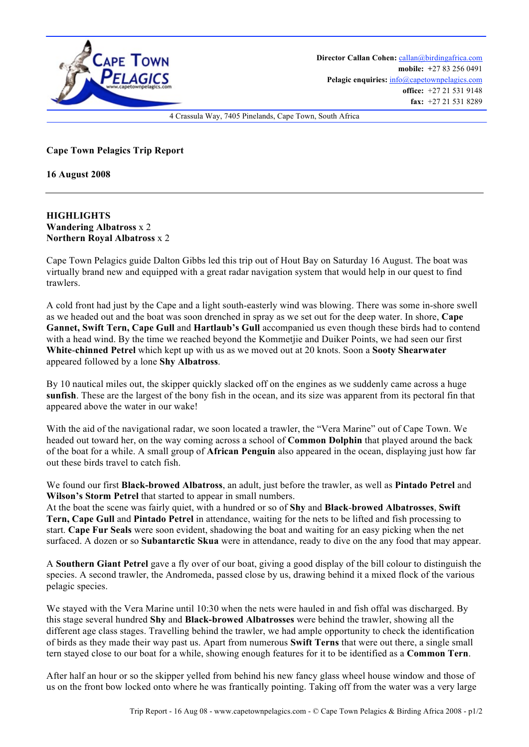

**Cape Town Pelagics Trip Report**

**16 August 2008**

## **HIGHLIGHTS Wandering Albatross** x 2 **Northern Royal Albatross** x 2

Cape Town Pelagics guide Dalton Gibbs led this trip out of Hout Bay on Saturday 16 August. The boat was virtually brand new and equipped with a great radar navigation system that would help in our quest to find trawlers.

A cold front had just by the Cape and a light south-easterly wind was blowing. There was some in-shore swell as we headed out and the boat was soon drenched in spray as we set out for the deep water. In shore, **Cape Gannet, Swift Tern, Cape Gull** and **Hartlaub's Gull** accompanied us even though these birds had to contend with a head wind. By the time we reached beyond the Kommetjie and Duiker Points, we had seen our first **White**-**chinned Petrel** which kept up with us as we moved out at 20 knots. Soon a **Sooty Shearwater** appeared followed by a lone **Shy Albatross**.

By 10 nautical miles out, the skipper quickly slacked off on the engines as we suddenly came across a huge **sunfish**. These are the largest of the bony fish in the ocean, and its size was apparent from its pectoral fin that appeared above the water in our wake!

With the aid of the navigational radar, we soon located a trawler, the "Vera Marine" out of Cape Town. We headed out toward her, on the way coming across a school of **Common Dolphin** that played around the back of the boat for a while. A small group of **African Penguin** also appeared in the ocean, displaying just how far out these birds travel to catch fish.

We found our first **Black-browed Albatross**, an adult, just before the trawler, as well as **Pintado Petrel** and **Wilson's Storm Petrel** that started to appear in small numbers.

At the boat the scene was fairly quiet, with a hundred or so of **Shy** and **Black**-**browed Albatrosses**, **Swift Tern, Cape Gull** and **Pintado Petrel** in attendance, waiting for the nets to be lifted and fish processing to start. **Cape Fur Seals** were soon evident, shadowing the boat and waiting for an easy picking when the net surfaced. A dozen or so **Subantarctic Skua** were in attendance, ready to dive on the any food that may appear.

A **Southern Giant Petrel** gave a fly over of our boat, giving a good display of the bill colour to distinguish the species. A second trawler, the Andromeda, passed close by us, drawing behind it a mixed flock of the various pelagic species.

We stayed with the Vera Marine until 10:30 when the nets were hauled in and fish offal was discharged. By this stage several hundred **Shy** and **Black-browed Albatrosses** were behind the trawler, showing all the different age class stages. Travelling behind the trawler, we had ample opportunity to check the identification of birds as they made their way past us. Apart from numerous **Swift Terns** that were out there, a single small tern stayed close to our boat for a while, showing enough features for it to be identified as a **Common Tern**.

After half an hour or so the skipper yelled from behind his new fancy glass wheel house window and those of us on the front bow locked onto where he was frantically pointing. Taking off from the water was a very large